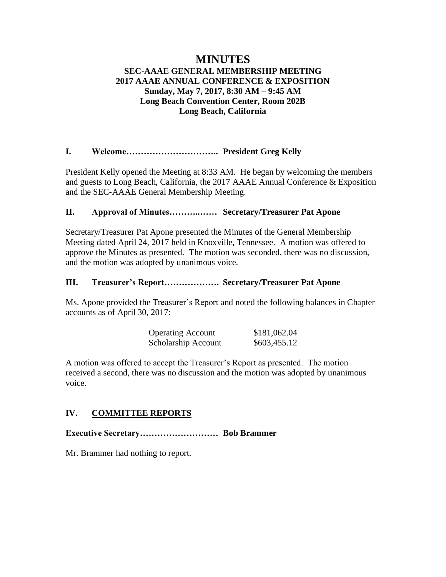# **MINUTES**

# **SEC-AAAE GENERAL MEMBERSHIP MEETING 2017 AAAE ANNUAL CONFERENCE & EXPOSITION Sunday, May 7, 2017, 8:30 AM – 9:45 AM Long Beach Convention Center, Room 202B Long Beach, California**

## **I. Welcome………………………….. President Greg Kelly**

President Kelly opened the Meeting at 8:33 AM. He began by welcoming the members and guests to Long Beach, California, the 2017 AAAE Annual Conference & Exposition and the SEC-AAAE General Membership Meeting.

## **II. Approval of Minutes………..…… Secretary/Treasurer Pat Apone**

Secretary/Treasurer Pat Apone presented the Minutes of the General Membership Meeting dated April 24, 2017 held in Knoxville, Tennessee. A motion was offered to approve the Minutes as presented. The motion was seconded, there was no discussion, and the motion was adopted by unanimous voice.

## **III. Treasurer's Report………………. Secretary/Treasurer Pat Apone**

Ms. Apone provided the Treasurer's Report and noted the following balances in Chapter accounts as of April 30, 2017:

| <b>Operating Account</b> | \$181,062.04 |
|--------------------------|--------------|
| Scholarship Account      | \$603,455.12 |

A motion was offered to accept the Treasurer's Report as presented. The motion received a second, there was no discussion and the motion was adopted by unanimous voice.

# **IV. COMMITTEE REPORTS**

**Executive Secretary……………………… Bob Brammer**

Mr. Brammer had nothing to report.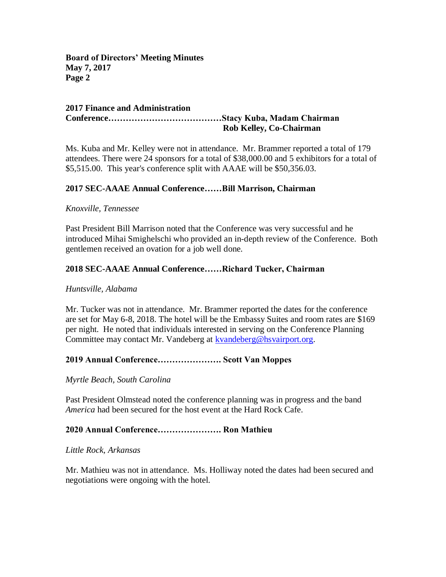#### **2017 Finance and Administration Conference…………………………………Stacy Kuba, Madam Chairman Rob Kelley, Co-Chairman**

Ms. Kuba and Mr. Kelley were not in attendance. Mr. Brammer reported a total of 179 attendees. There were 24 sponsors for a total of \$38,000.00 and 5 exhibitors for a total of \$5,515.00. This year's conference split with AAAE will be \$50,356.03.

# **2017 SEC-AAAE Annual Conference……Bill Marrison, Chairman**

#### *Knoxville, Tennessee*

Past President Bill Marrison noted that the Conference was very successful and he introduced Mihai Smighelschi who provided an in-depth review of the Conference. Both gentlemen received an ovation for a job well done.

#### **2018 SEC-AAAE Annual Conference……Richard Tucker, Chairman**

#### *Huntsville, Alabama*

Mr. Tucker was not in attendance. Mr. Brammer reported the dates for the conference are set for May 6-8, 2018. The hotel will be the Embassy Suites and room rates are \$169 per night. He noted that individuals interested in serving on the Conference Planning Committee may contact Mr. Vandeberg at [kvandeberg@hsvairport.org.](mailto:kvandeberg@hsvairport.org)

#### **2019 Annual Conference…………………. Scott Van Moppes**

*Myrtle Beach, South Carolina*

Past President Olmstead noted the conference planning was in progress and the band *America* had been secured for the host event at the Hard Rock Cafe.

#### **2020 Annual Conference…………………. Ron Mathieu**

#### *Little Rock, Arkansas*

Mr. Mathieu was not in attendance. Ms. Holliway noted the dates had been secured and negotiations were ongoing with the hotel.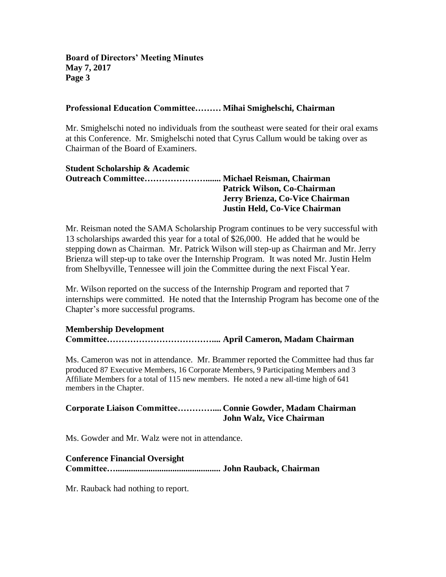#### **Professional Education Committee……… Mihai Smighelschi, Chairman**

Mr. Smighelschi noted no individuals from the southeast were seated for their oral exams at this Conference. Mr. Smighelschi noted that Cyrus Callum would be taking over as Chairman of the Board of Examiners.

| <b>Student Scholarship &amp; Academic</b> |                                 |
|-------------------------------------------|---------------------------------|
|                                           |                                 |
|                                           | Patrick Wilson, Co-Chairman     |
|                                           | Jerry Brienza, Co-Vice Chairman |
|                                           | Justin Held, Co-Vice Chairman   |

Mr. Reisman noted the SAMA Scholarship Program continues to be very successful with 13 scholarships awarded this year for a total of \$26,000. He added that he would be stepping down as Chairman. Mr. Patrick Wilson will step-up as Chairman and Mr. Jerry Brienza will step-up to take over the Internship Program. It was noted Mr. Justin Helm from Shelbyville, Tennessee will join the Committee during the next Fiscal Year.

Mr. Wilson reported on the success of the Internship Program and reported that 7 internships were committed. He noted that the Internship Program has become one of the Chapter's more successful programs.

#### **Membership Development**

**Committee……………………………….... April Cameron, Madam Chairman**

Ms. Cameron was not in attendance. Mr. Brammer reported the Committee had thus far produced 87 Executive Members, 16 Corporate Members, 9 Participating Members and 3 Affiliate Members for a total of 115 new members. He noted a new all-time high of 641 members in the Chapter.

| Corporate Liaison CommitteeConnie Gowder, Madam Chairman |                                 |
|----------------------------------------------------------|---------------------------------|
|                                                          | <b>John Walz, Vice Chairman</b> |

Ms. Gowder and Mr. Walz were not in attendance.

#### **Conference Financial Oversight**

**Committee…................................................ John Rauback, Chairman**

Mr. Rauback had nothing to report.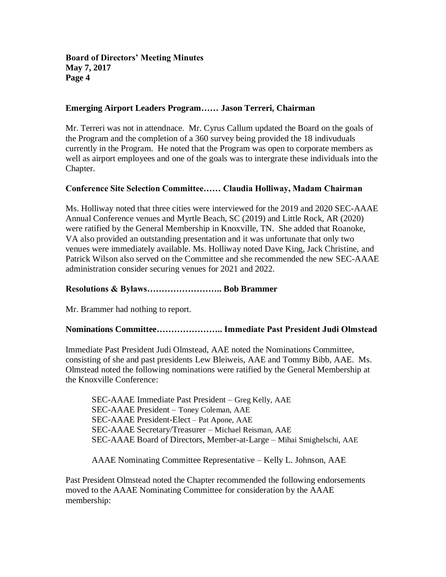#### **Emerging Airport Leaders Program…… Jason Terreri, Chairman**

Mr. Terreri was not in attendnace. Mr. Cyrus Callum updated the Board on the goals of the Program and the completion of a 360 survey being provided the 18 indivuduals currently in the Program. He noted that the Program was open to corporate members as well as airport employees and one of the goals was to intergrate these individuals into the Chapter.

## **Conference Site Selection Committee…… Claudia Holliway, Madam Chairman**

Ms. Holliway noted that three cities were interviewed for the 2019 and 2020 SEC-AAAE Annual Conference venues and Myrtle Beach, SC (2019) and Little Rock, AR (2020) were ratified by the General Membership in Knoxville, TN. She added that Roanoke, VA also provided an outstanding presentation and it was unfortunate that only two venues were immediately available. Ms. Holliway noted Dave King, Jack Christine, and Patrick Wilson also served on the Committee and she recommended the new SEC-AAAE administration consider securing venues for 2021 and 2022.

## **Resolutions & Bylaws…………………….. Bob Brammer**

Mr. Brammer had nothing to report.

# **Nominations Committee………………….. Immediate Past President Judi Olmstead**

Immediate Past President Judi Olmstead, AAE noted the Nominations Committee, consisting of she and past presidents Lew Bleiweis, AAE and Tommy Bibb, AAE. Ms. Olmstead noted the following nominations were ratified by the General Membership at the Knoxville Conference:

SEC-AAAE Immediate Past President – Greg Kelly, AAE SEC-AAAE President – Toney Coleman, AAE SEC-AAAE President-Elect – Pat Apone, AAE SEC-AAAE Secretary/Treasurer – Michael Reisman, AAE SEC-AAAE Board of Directors, Member-at-Large – Mihai Smighelschi, AAE

AAAE Nominating Committee Representative – Kelly L. Johnson, AAE

Past President Olmstead noted the Chapter recommended the following endorsements moved to the AAAE Nominating Committee for consideration by the AAAE membership: